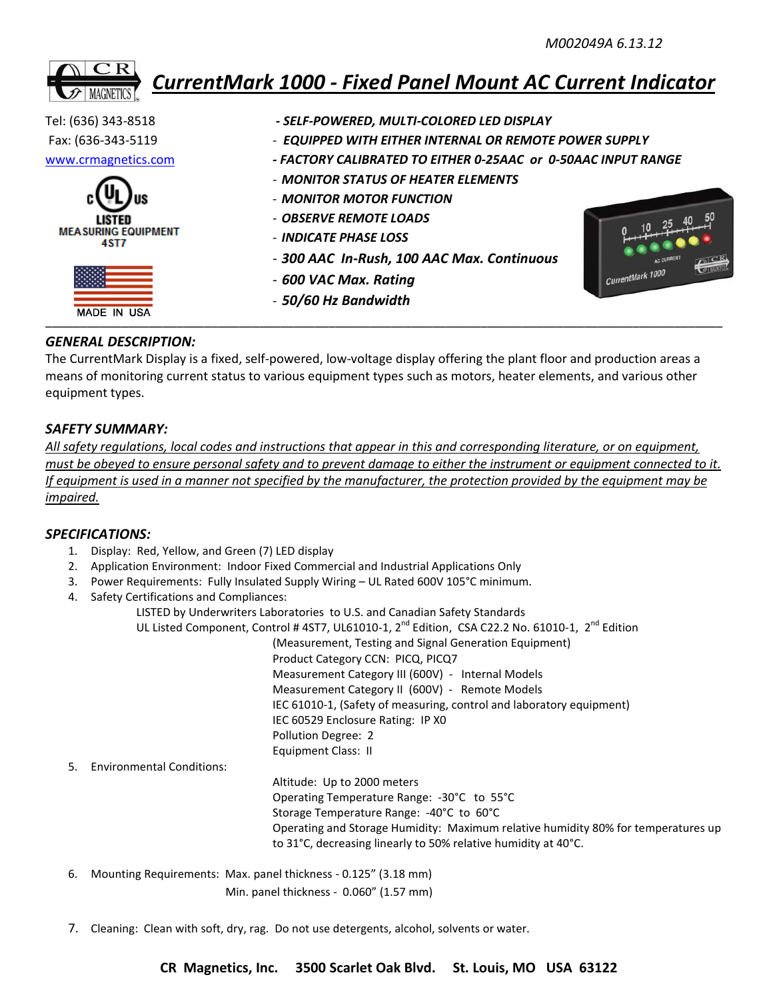# *CurrentMark 1000 - Fixed Panel Mount AC Current Indicator*



- 
- Fax: (636-343-5119 *EQUIPPED WITH EITHER INTERNAL OR REMOTE POWER SUPPLY*
- [www.crmagnetics.com](http://www.crmagnetics.com/) *- FACTORY CALIBRATED TO EITHER 0-25AAC or 0-50AAC INPUT RANGE*
	- *MONITOR STATUS OF HEATER ELEMENTS*
	- *MONITOR MOTOR FUNCTION*
	- *OBSERVE REMOTE LOADS*
	- *INDICATE PHASE LOSS*
	- *300 AAC In-Rush, 100 AAC Max. Continuous*
	- *600 VAC Max. Rating*
	- *50/60 Hz Bandwidth*



## *GENERAL DESCRIPTION:*

The CurrentMark Display is a fixed, self-powered, low-voltage display offering the plant floor and production areas a means of monitoring current status to various equipment types such as motors, heater elements, and various other equipment types.

## *SAFETY SUMMARY:*

*All safety regulations, local codes and instructions that appear in this and corresponding literature, or on equipment, must be obeyed to ensure personal safety and to prevent damage to either the instrument or equipment connected to it. If equipment is used in a manner not specified by the manufacturer, the protection provided by the equipment may be impaired.*

#### *SPECIFICATIONS:*

- 1. Display: Red, Yellow, and Green (7) LED display
- 2. Application Environment: Indoor Fixed Commercial and Industrial Applications Only
- 3. Power Requirements: Fully Insulated Supply Wiring UL Rated 600V 105°C minimum.
- 4. Safety Certifications and Compliances:

|                                        | LISTED by Underwriters Laboratories to U.S. and Canadian Safety Standards                                              |
|----------------------------------------|------------------------------------------------------------------------------------------------------------------------|
|                                        | UL Listed Component, Control #4ST7, UL61010-1, 2 <sup>nd</sup> Edition, CSA C22.2 No. 61010-1, 2 <sup>nd</sup> Edition |
|                                        | (Measurement, Testing and Signal Generation Equipment)                                                                 |
|                                        | Product Category CCN: PICQ, PICQ7                                                                                      |
|                                        | Measurement Category III (600V) - Internal Models                                                                      |
|                                        | Measurement Category II (600V) - Remote Models                                                                         |
|                                        | IEC 61010-1, (Safety of measuring, control and laboratory equipment)                                                   |
|                                        | IEC 60529 Enclosure Rating: IP X0                                                                                      |
|                                        | Pollution Degree: 2                                                                                                    |
|                                        | Equipment Class: II                                                                                                    |
| <b>Environmental Conditions:</b><br>5. |                                                                                                                        |
|                                        | Altitude: Up to 2000 meters                                                                                            |
|                                        | Operating Temperature Range: -30°C to 55°C                                                                             |
|                                        | Storage Temperature Range: -40°C to 60°C                                                                               |
|                                        | Operating and Storage Humidity: Maximum relative humidity 80% for temperatures up                                      |
|                                        | to 31°C, decreasing linearly to 50% relative humidity at 40°C.                                                         |
|                                        |                                                                                                                        |

- 6. Mounting Requirements: Max. panel thickness 0.125" (3.18 mm) Min. panel thickness - 0.060" (1.57 mm)
- 7. Cleaning: Clean with soft, dry, rag. Do not use detergents, alcohol, solvents or water.